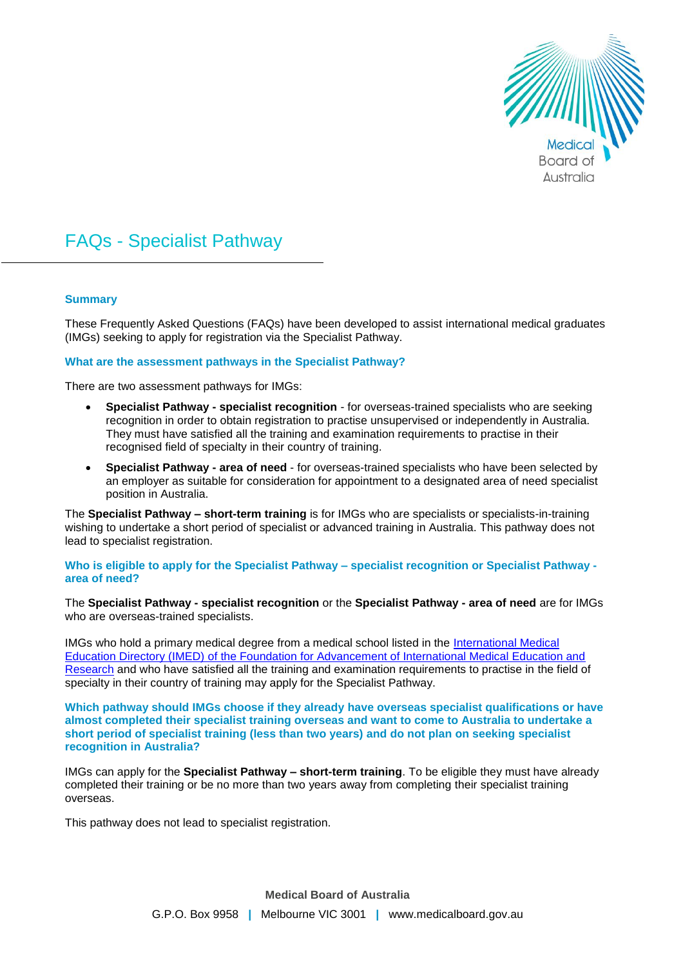

# FAQs - Specialist Pathway

# **Summary**

These Frequently Asked Questions (FAQs) have been developed to assist international medical graduates (IMGs) seeking to apply for registration via the Specialist Pathway.

#### **What are the assessment pathways in the Specialist Pathway?**

There are two assessment pathways for IMGs:

- **Specialist Pathway - specialist recognition** for overseas-trained specialists who are seeking recognition in order to obtain registration to practise unsupervised or independently in Australia. They must have satisfied all the training and examination requirements to practise in their recognised field of specialty in their country of training.
- **Specialist Pathway - area of need**  for overseas-trained specialists who have been selected by an employer as suitable for consideration for appointment to a designated area of need specialist position in Australia.

The **Specialist Pathway – short-term training** is for IMGs who are specialists or specialists-in-training wishing to undertake a short period of specialist or advanced training in Australia. This pathway does not lead to specialist registration.

**Who is eligible to apply for the Specialist Pathway – specialist recognition or Specialist Pathway area of need?**

The **Specialist Pathway - specialist recognition** or the **Specialist Pathway - area of need** are for IMGs who are overseas-trained specialists.

IMGs who hold a primary medical degree from a medical school listed in the International Medical [Education Directory \(IMED\) of the Foundation for Advancement of International Medical Education and](https://imed.faimer.org/)  [Research](https://imed.faimer.org/) and who have satisfied all the training and examination requirements to practise in the field of specialty in their country of training may apply for the Specialist Pathway.

**Which pathway should IMGs choose if they already have overseas specialist qualifications or have almost completed their specialist training overseas and want to come to Australia to undertake a short period of specialist training (less than two years) and do not plan on seeking specialist recognition in Australia?**

IMGs can apply for the **Specialist Pathway – short-term training**. To be eligible they must have already completed their training or be no more than two years away from completing their specialist training overseas.

This pathway does not lead to specialist registration.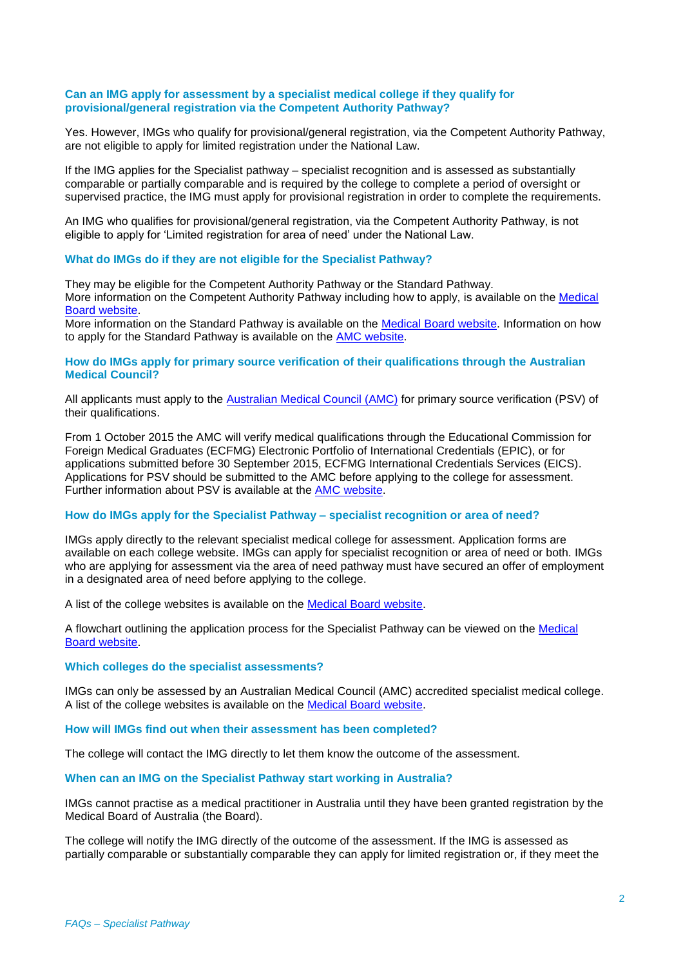# **Can an IMG apply for assessment by a specialist medical college if they qualify for provisional/general registration via the Competent Authority Pathway?**

Yes. However, IMGs who qualify for provisional/general registration, via the Competent Authority Pathway, are not eligible to apply for limited registration under the National Law.

If the IMG applies for the Specialist pathway – specialist recognition and is assessed as substantially comparable or partially comparable and is required by the college to complete a period of oversight or supervised practice, the IMG must apply for provisional registration in order to complete the requirements.

An IMG who qualifies for provisional/general registration, via the Competent Authority Pathway, is not eligible to apply for 'Limited registration for area of need' under the National Law.

#### **What do IMGs do if they are not eligible for the Specialist Pathway?**

They may be eligible for the Competent Authority Pathway or the Standard Pathway. More information on the Competent Authority Pathway including how to apply, is available on the [Medical](http://www.medicalboard.gov.au/Registration/International-Medical-Graduates/Competent-Authority-Pathway.aspx)  [Board website.](http://www.medicalboard.gov.au/Registration/International-Medical-Graduates/Competent-Authority-Pathway.aspx)

More information on the Standard Pathway is available on the [Medical Board](http://www.medicalboard.gov.au/Registration/International-Medical-Graduates/Standard-Pathway.aspx) website. Information on how to apply for the Standard Pathway is available on the [AMC website.](http://www.amc.org.au/index.php/ass/apo/sp)

# **How do IMGs apply for primary source verification of their qualifications through the Australian Medical Council?**

All applicants must apply to the [Australian Medical Council](http://www.amc.org.au/assessment/psv) (AMC) for primary source verification (PSV) of their qualifications.

From 1 October 2015 the AMC will verify medical qualifications through the Educational Commission for Foreign Medical Graduates (ECFMG) Electronic Portfolio of International Credentials (EPIC), or for applications submitted before 30 September 2015, ECFMG International Credentials Services (EICS). Applications for PSV should be submitted to the AMC before applying to the college for assessment. Further information about PSV is available at the [AMC website.](http://www.amc.org.au/index.php/ass/psv)

## **How do IMGs apply for the Specialist Pathway – specialist recognition or area of need?**

IMGs apply directly to the relevant specialist medical college for assessment. Application forms are available on each college website. IMGs can apply for specialist recognition or area of need or both. IMGs who are applying for assessment via the area of need pathway must have secured an offer of employment in a designated area of need before applying to the college.

A list of the college websites is available on the [Medical Board website.](http://www.medicalboard.gov.au/Registration/International-Medical-Graduates/Specialist-Pathway.aspx)

A flowchart outlining the application process for the Specialist Pathway can be viewed on the [Medical](http://www.medicalboard.gov.au/Registration/International-Medical-Graduates/Specialist-Pathway.aspx)  [Board website.](http://www.medicalboard.gov.au/Registration/International-Medical-Graduates/Specialist-Pathway.aspx)

#### **Which colleges do the specialist assessments?**

IMGs can only be assessed by an Australian Medical Council (AMC) accredited specialist medical college. A list of the college websites is available on the [Medical Board website.](http://www.medicalboard.gov.au/Registration/International-Medical-Graduates/Specialist-Pathway.aspx)

#### **How will IMGs find out when their assessment has been completed?**

The college will contact the IMG directly to let them know the outcome of the assessment.

## **When can an IMG on the Specialist Pathway start working in Australia?**

IMGs cannot practise as a medical practitioner in Australia until they have been granted registration by the Medical Board of Australia (the Board).

The college will notify the IMG directly of the outcome of the assessment. If the IMG is assessed as partially comparable or substantially comparable they can apply for limited registration or, if they meet the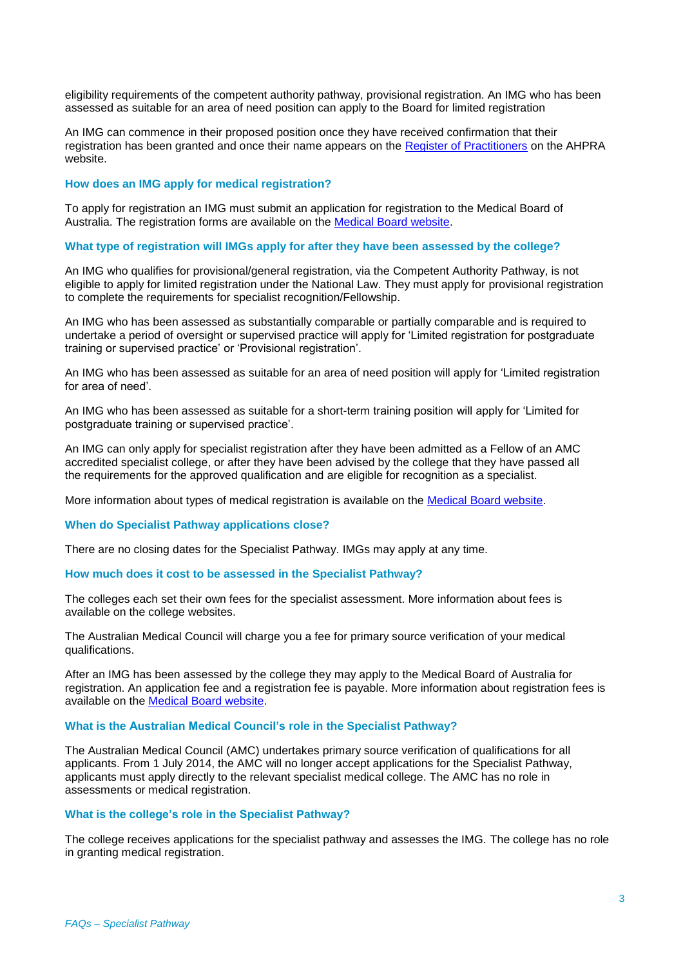eligibility requirements of the competent authority pathway, provisional registration. An IMG who has been assessed as suitable for an area of need position can apply to the Board for limited registration

An IMG can commence in their proposed position once they have received confirmation that their registration has been granted and once their name appears on the [Register of Practitioners](http://www.ahpra.gov.au/Registration/Registers-of-Practitioners.aspx) on the AHPRA website.

#### **How does an IMG apply for medical registration?**

To apply for registration an IMG must submit an application for registration to the Medical Board of Australia. The registration forms are available on the [Medical Board website.](http://www.medicalboard.gov.au/Registration/Forms.aspx)

# **What type of registration will IMGs apply for after they have been assessed by the college?**

An IMG who qualifies for provisional/general registration, via the Competent Authority Pathway, is not eligible to apply for limited registration under the National Law. They must apply for provisional registration to complete the requirements for specialist recognition/Fellowship.

An IMG who has been assessed as substantially comparable or partially comparable and is required to undertake a period of oversight or supervised practice will apply for 'Limited registration for postgraduate training or supervised practice' or 'Provisional registration'.

An IMG who has been assessed as suitable for an area of need position will apply for 'Limited registration for area of need'.

An IMG who has been assessed as suitable for a short-term training position will apply for 'Limited for postgraduate training or supervised practice'.

An IMG can only apply for specialist registration after they have been admitted as a Fellow of an AMC accredited specialist college, or after they have been advised by the college that they have passed all the requirements for the approved qualification and are eligible for recognition as a specialist.

More information about types of medical registration is available on the [Medical Board website.](http://www.medicalboard.gov.au/Registration/Types.aspx)

#### **When do Specialist Pathway applications close?**

There are no closing dates for the Specialist Pathway. IMGs may apply at any time.

#### **How much does it cost to be assessed in the Specialist Pathway?**

The colleges each set their own fees for the specialist assessment. More information about fees is available on the college websites.

The Australian Medical Council will charge you a fee for primary source verification of your medical qualifications.

After an IMG has been assessed by the college they may apply to the Medical Board of Australia for registration. An application fee and a registration fee is payable. More information about registration fees is available on the [Medical Board website.](http://www.medicalboard.gov.au/Registration/Fees.aspx)

#### **What is the Australian Medical Council's role in the Specialist Pathway?**

The Australian Medical Council (AMC) undertakes primary source verification of qualifications for all applicants. From 1 July 2014, the AMC will no longer accept applications for the Specialist Pathway, applicants must apply directly to the relevant specialist medical college. The AMC has no role in assessments or medical registration.

#### **What is the college's role in the Specialist Pathway?**

The college receives applications for the specialist pathway and assesses the IMG. The college has no role in granting medical registration.